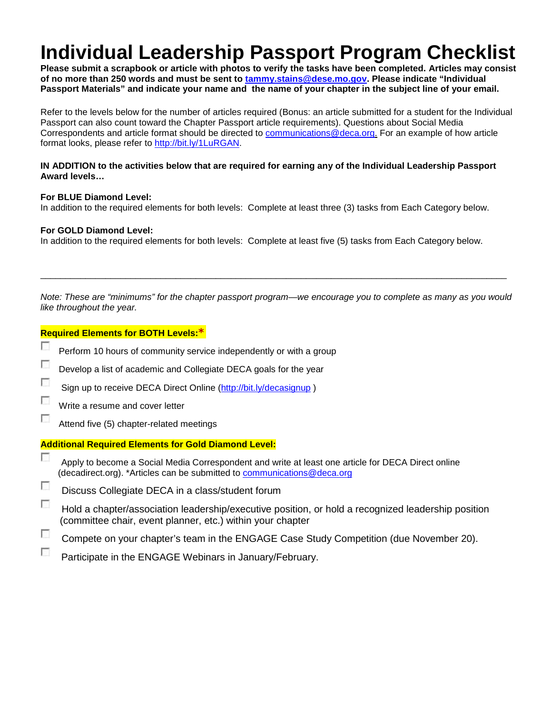# **Individual Leadership Passport Program Checklist**

**Please submit a scrapbook or article with photos to verify the tasks have been completed. Articles may consist of no more than 250 words and must be sent to [tammy.stains@dese.mo.gov.](mailto:tammy.stains@dese.mo.gov) Please indicate "Individual Passport Materials" and indicate your name and the name of your chapter in the subject line of your email.**

Refer to the levels below for the number of articles required (Bonus: an article submitted for a student for the Individual Passport can also count toward the Chapter Passport article requirements). Questions about Social Media Correspondents and article format should be directed to [communications@deca.org.](mailto:communications@deca.org) For an example of how article format looks, please refer to [http://bit.ly/1LuRGAN.](http://bit.ly/1LuRGAN)

#### **IN ADDITION to the activities below that are required for earning any of the Individual Leadership Passport Award levels…**

#### **For BLUE Diamond Level:**

In addition to the required elements for both levels: Complete at least three (3) tasks from Each Category below.

#### **For GOLD Diamond Level:**

In addition to the required elements for both levels: Complete at least five (5) tasks from Each Category below.

*Note: These are "minimums" for the chapter passport program—we encourage you to complete as many as you would like throughout the year.*

\_\_\_\_\_\_\_\_\_\_\_\_\_\_\_\_\_\_\_\_\_\_\_\_\_\_\_\_\_\_\_\_\_\_\_\_\_\_\_\_\_\_\_\_\_\_\_\_\_\_\_\_\_\_\_\_\_\_\_\_\_\_\_\_\_\_\_\_\_\_\_\_\_\_\_\_\_\_\_\_\_\_\_\_\_\_\_\_\_\_\_\_\_

| <b>Required Elements for BOTH Levels: *</b>                 |                                                                                                                                                                               |
|-------------------------------------------------------------|-------------------------------------------------------------------------------------------------------------------------------------------------------------------------------|
| п                                                           | Perform 10 hours of community service independently or with a group                                                                                                           |
| г                                                           | Develop a list of academic and Collegiate DECA goals for the year                                                                                                             |
| г                                                           | Sign up to receive DECA Direct Online (http://bit.ly/decasignup)                                                                                                              |
| г                                                           | Write a resume and cover letter                                                                                                                                               |
| г                                                           | Attend five (5) chapter-related meetings                                                                                                                                      |
| <b>Additional Required Elements for Gold Diamond Level:</b> |                                                                                                                                                                               |
| Е                                                           | Apply to become a Social Media Correspondent and write at least one article for DECA Direct online<br>(decadirect.org). *Articles can be submitted to communications@deca.org |
| п                                                           | Discuss Collegiate DECA in a class/student forum                                                                                                                              |
| П                                                           | Hold a chapter/association leadership/executive position, or hold a recognized leadership position<br>(committee chair, event planner, etc.) within your chapter              |
|                                                             | Compete on your chapter's team in the ENGAGE Case Study Competition (due November 20).                                                                                        |

г Participate in the ENGAGE Webinars in January/February.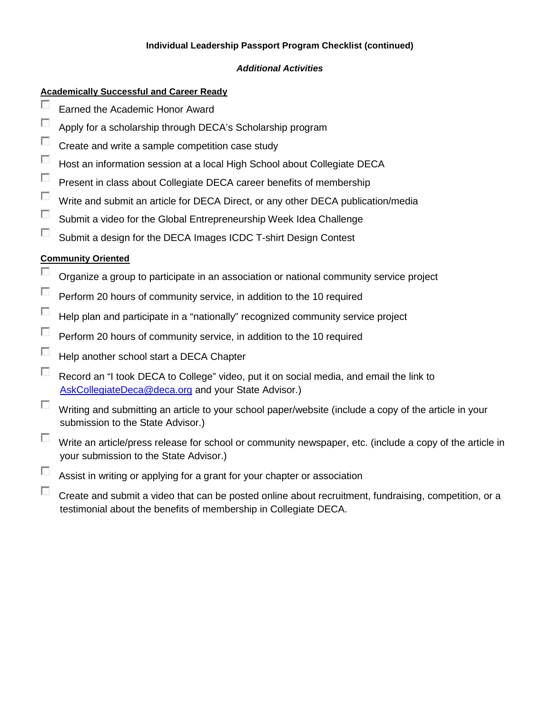## **Individual Leadership Passport Program Checklist (continued)**

### *Additional Activities*

## **Academically Successful and Career Ready**

- П Earned the Academic Honor Award
- $\overline{\phantom{a}}$ Apply for a scholarship through DECA's Scholarship program
- $\sim$ Create and write a sample competition case study
- $\sim$ Host an information session at a local High School about Collegiate DECA
- $\sim$ Present in class about Collegiate DECA career benefits of membership
- $\sim$ Write and submit an article for DECA Direct, or any other DECA publication/media
- $\sim$ Submit a video for the Global Entrepreneurship Week Idea Challenge
- $\overline{\mathcal{L}}$ Submit a design for the DECA Images ICDC T-shirt Design Contest

## **Community Oriented**

- П Organize a group to participate in an association or national community service project
- $\mathcal{L}_{\mathcal{A}}$ Perform 20 hours of community service, in addition to the 10 required
- $\overline{\mathcal{L}}$ Help plan and participate in a "nationally" recognized community service project
- $\overline{a}$ Perform 20 hours of community service, in addition to the 10 required
- $\overline{\mathcal{L}}$ Help another school start a DECA Chapter
- $\overline{a}$ Record an "I took DECA to College" video, put it on social media, and email the link to [AskCollegiateDeca@deca.org](mailto:AskCollegiateDeca@deca.org) and your State Advisor.)
- $\Box$ Writing and submitting an article to your school paper/website (include a copy of the article in your submission to the State Advisor.)
- $\sim$ Write an article/press release for school or community newspaper, etc. (include a copy of the article in your submission to the State Advisor.)
- $\sim$ Assist in writing or applying for a grant for your chapter or association
- $\sim$ Create and submit a video that can be posted online about recruitment, fundraising, competition, or a testimonial about the benefits of membership in Collegiate DECA.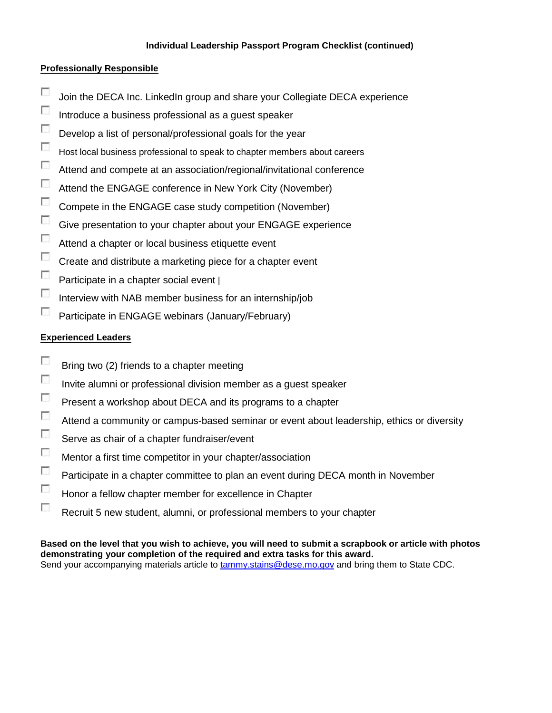#### **Individual Leadership Passport Program Checklist (continued)**

#### **Professionally Responsible**

- $\overline{\mathcal{L}}$ Join the DECA Inc. LinkedIn group and share your Collegiate DECA experience
- $\overline{\phantom{a}}$ Introduce a business professional as a guest speaker
- $\mathcal{L}_{\mathcal{L}}$ Develop a list of personal/professional goals for the year
- $\mathcal{L}_{\mathcal{L}}$ Host local business professional to speak to chapter members about careers
- $\overline{\phantom{a}}$ Attend and compete at an association/regional/invitational conference
- $\sim$ Attend the ENGAGE conference in New York City (November)
- $\overline{\phantom{a}}$ Compete in the ENGAGE case study competition (November)
- $\overline{\phantom{a}}$ Give presentation to your chapter about your ENGAGE experience
- $\sim$ Attend a chapter or local business etiquette event
- $\sim$ Create and distribute a marketing piece for a chapter event
- $\sim$ Participate in a chapter social event |
- $\overline{a}$ Interview with NAB member business for an internship/job
- $\overline{\phantom{a}}$ Participate in ENGAGE webinars (January/February)

#### **Experienced Leaders**

- $\overline{\phantom{a}}$ Bring two (2) friends to a chapter meeting
- $\overline{\phantom{a}}$ Invite alumni or professional division member as a guest speaker
- $\sim$ Present a workshop about DECA and its programs to a chapter
- $\sim$ Attend a community or campus-based seminar or event about leadership, ethics or diversity
- $\sim$ Serve as chair of a chapter fundraiser/event
- $\overline{\phantom{a}}$ Mentor a first time competitor in your chapter/association
- $\sim$ Participate in a chapter committee to plan an event during DECA month in November
- $\overline{\phantom{a}}$ Honor a fellow chapter member for excellence in Chapter
- $\sim$ Recruit 5 new student, alumni, or professional members to your chapter

**Based on the level that you wish to achieve, you will need to submit a scrapbook or article with photos demonstrating your completion of the required and extra tasks for this award.** Send your accompanying materials article to [tammy.stains@dese.mo.gov](mailto:tammy.stains@dese.mo.gov) and bring them to State CDC.